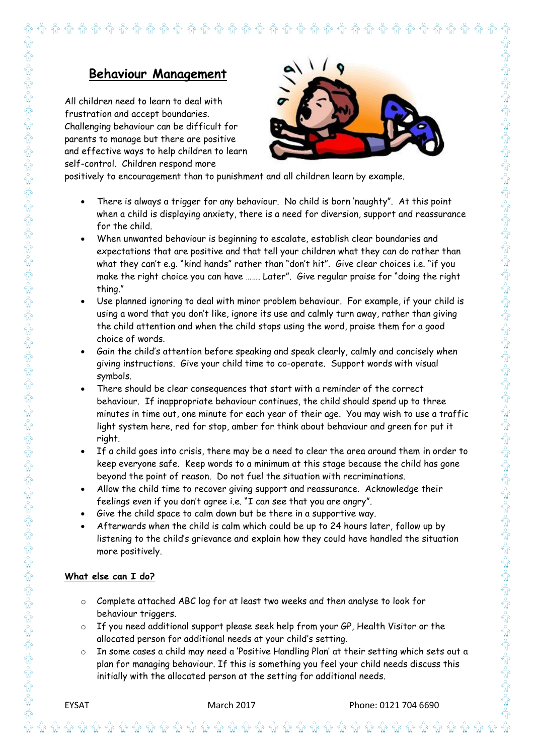## **Behaviour Management**

**îr îr îr îr** îr

All children need to learn to deal with frustration and accept boundaries. Challenging behaviour can be difficult for parents to manage but there are positive and effective ways to help children to learn self-control. Children respond more



 $\frac{1}{2}$  $\sqrt{\frac{1}{2}}$  $\sqrt{\mathbf{r}}$  $\sqrt{\mathbf{r}}$  $\frac{1}{\sqrt{2}}$   $\sum_{n=1}^{\infty}$ 

positively to encouragement than to punishment and all children learn by example.

 There is always a trigger for any behaviour. No child is born 'naughty". At this point when a child is displaying anxiety, there is a need for diversion, support and reassurance for the child.

 $\mathbf{\hat{w}}$   $\mathbf{\hat{w}}$   $\mathbf{\hat{w}}$   $\mathbf{\hat{w}}$   $\mathbf{\hat{w}}$   $\mathbf{\hat{w}}$   $\mathbf{\hat{w}}$   $\mathbf{\hat{w}}$   $\mathbf{\hat{w}}$   $\mathbf{\hat{w}}$   $\mathbf{\hat{w}}$   $\mathbf{\hat{w}}$   $\mathbf{\hat{w}}$   $\mathbf{\hat{w}}$   $\mathbf{\hat{w}}$ 

- When unwanted behaviour is beginning to escalate, establish clear boundaries and expectations that are positive and that tell your children what they can do rather than what they can't e.g. "kind hands" rather than "don't hit". Give clear choices i.e. "if you make the right choice you can have ……. Later". Give regular praise for "doing the right thing."
- Use planned ignoring to deal with minor problem behaviour. For example, if your child is using a word that you don't like, ignore its use and calmly turn away, rather than giving the child attention and when the child stops using the word, praise them for a good choice of words.
- Gain the child's attention before speaking and speak clearly, calmly and concisely when giving instructions. Give your child time to co-operate. Support words with visual symbols.
- There should be clear consequences that start with a reminder of the correct behaviour. If inappropriate behaviour continues, the child should spend up to three minutes in time out, one minute for each year of their age. You may wish to use a traffic light system here, red for stop, amber for think about behaviour and green for put it right.
- If a child goes into crisis, there may be a need to clear the area around them in order to keep everyone safe. Keep words to a minimum at this stage because the child has gone beyond the point of reason. Do not fuel the situation with recriminations.
- Allow the child time to recover giving support and reassurance. Acknowledge their feelings even if you don't agree i.e. "I can see that you are angry".
- Give the child space to calm down but be there in a supportive way.
- Afterwards when the child is calm which could be up to 24 hours later, follow up by listening to the child's grievance and explain how they could have handled the situation more positively.

## **What else can I do?**

- o Complete attached ABC log for at least two weeks and then analyse to look for behaviour triggers.
- If you need additional support please seek help from your GP, Health Visitor or the allocated person for additional needs at your child's setting.
- In some cases a child may need a 'Positive Handling Plan' at their setting which sets out a plan for managing behaviour. If this is something you feel your child needs discuss this initially with the allocated person at the setting for additional needs.

 $\hat{\mathfrak{m}}$   $\hat{\mathfrak{m}}$   $\hat{\mathfrak{m}}$   $\hat{\mathfrak{m}}$   $\hat{\mathfrak{m}}$   $\hat{\mathfrak{m}}$   $\hat{\mathfrak{m}}$   $\hat{\mathfrak{m}}$   $\hat{\mathfrak{m}}$   $\hat{\mathfrak{m}}$   $\hat{\mathfrak{m}}$   $\hat{\mathfrak{m}}$   $\hat{\mathfrak{m}}$   $\hat{\mathfrak{m}}$   $\hat{\mathfrak{m}}$   $\hat{\mathfrak{m}}$   $\hat{\mathfrak{m}}$   $\hat{\mathfrak{m}}$   $\hat{\math$